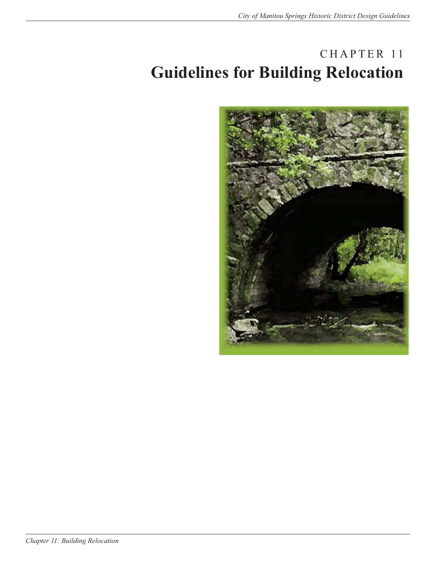## CHAPTER 11 **Guidelines for Building Relocation**